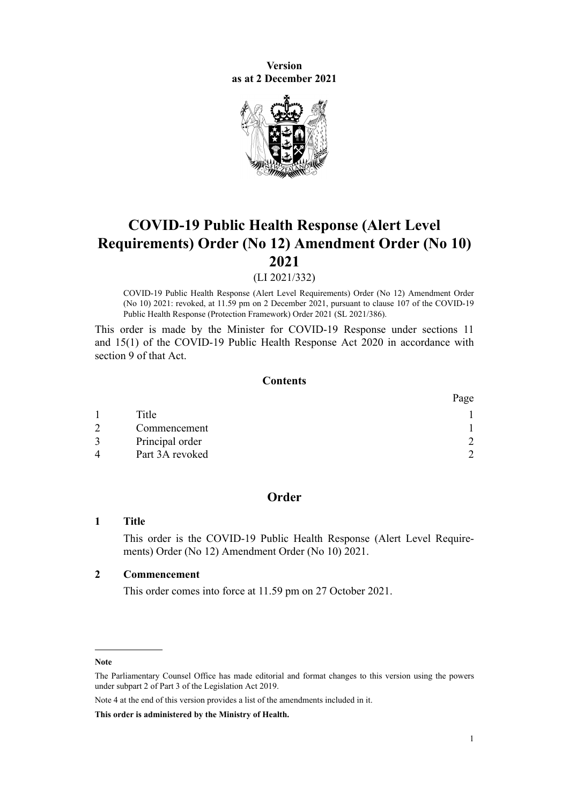**Version as at 2 December 2021**



# **COVID-19 Public Health Response (Alert Level Requirements) Order (No 12) Amendment Order (No 10) 2021**

(LI 2021/332)

COVID-19 Public Health Response (Alert Level Requirements) Order (No 12) Amendment Order (No 10) 2021: revoked, at 11.59 pm on 2 December 2021, pursuant to [clause 107](http://legislation.govt.nz/pdflink.aspx?id=LMS574550) of the COVID-19 Public Health Response (Protection Framework) Order 2021 (SL 2021/386).

This order is made by the Minister for COVID-19 Response under [sections 11](http://legislation.govt.nz/pdflink.aspx?id=LMS344177) and [15\(1\)](http://legislation.govt.nz/pdflink.aspx?id=LMS344183) of the [COVID-19 Public Health Response Act 2020](http://legislation.govt.nz/pdflink.aspx?id=LMS344121) in accordance with [section 9](http://legislation.govt.nz/pdflink.aspx?id=LMS344175) of that Act.

#### **Contents**

|               |                 | Page |
|---------------|-----------------|------|
|               | Title           |      |
| $\mathcal{D}$ | Commencement    |      |
|               | Principal order |      |
| 4             | Part 3A revoked |      |

# **Order**

#### **1 Title**

This order is the COVID-19 Public Health Response (Alert Level Require‐ ments) Order (No 12) Amendment Order (No 10) 2021.

### **2 Commencement**

This order comes into force at 11.59 pm on 27 October 2021.

Note 4 at the end of this version provides a list of the amendments included in it.

**This order is administered by the Ministry of Health.**

**Note**

The Parliamentary Counsel Office has made editorial and format changes to this version using the powers under [subpart 2](http://legislation.govt.nz/pdflink.aspx?id=DLM7298371) of Part 3 of the Legislation Act 2019.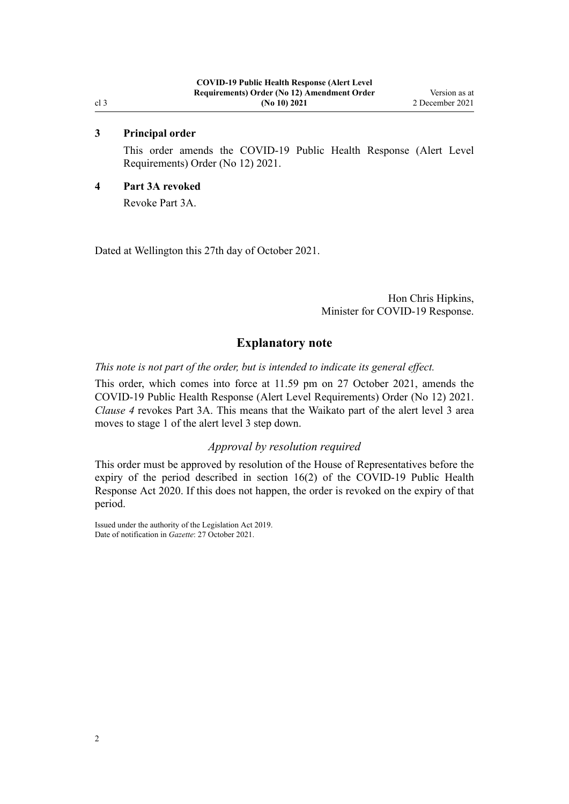#### **3 Principal order**

This order amends the [COVID-19 Public Health Response \(Alert Level](http://legislation.govt.nz/pdflink.aspx?id=LMS549702) [Requirements\) Order \(No 12\) 2021](http://legislation.govt.nz/pdflink.aspx?id=LMS549702).

#### **4 Part 3A revoked**

Revoke [Part 3A.](http://legislation.govt.nz/pdflink.aspx?id=LMS563993)

Dated at Wellington this 27th day of October 2021.

Hon Chris Hipkins, Minister for COVID-19 Response.

### **Explanatory note**

*This note is not part of the order, but is intended to indicate its general effect.*

This order, which comes into force at 11.59 pm on 27 October 2021, amends the [COVID-19 Public Health Response \(Alert Level Requirements\) Order \(No 12\) 2021](http://legislation.govt.nz/pdflink.aspx?id=LMS549702). *Clause 4* revokes [Part 3A](http://legislation.govt.nz/pdflink.aspx?id=LMS563993). This means that the Waikato part of the alert level 3 area moves to stage 1 of the alert level 3 step down.

## *Approval by resolution required*

This order must be approved by resolution of the House of Representatives before the expiry of the period described in [section 16\(2\)](http://legislation.govt.nz/pdflink.aspx?id=LMS344186) of the COVID-19 Public Health Response Act 2020. If this does not happen, the order is revoked on the expiry of that period.

Issued under the authority of the [Legislation Act 2019](http://legislation.govt.nz/pdflink.aspx?id=DLM7298104). Date of notification in *Gazette*: 27 October 2021.

<span id="page-1-0"></span>cl 3